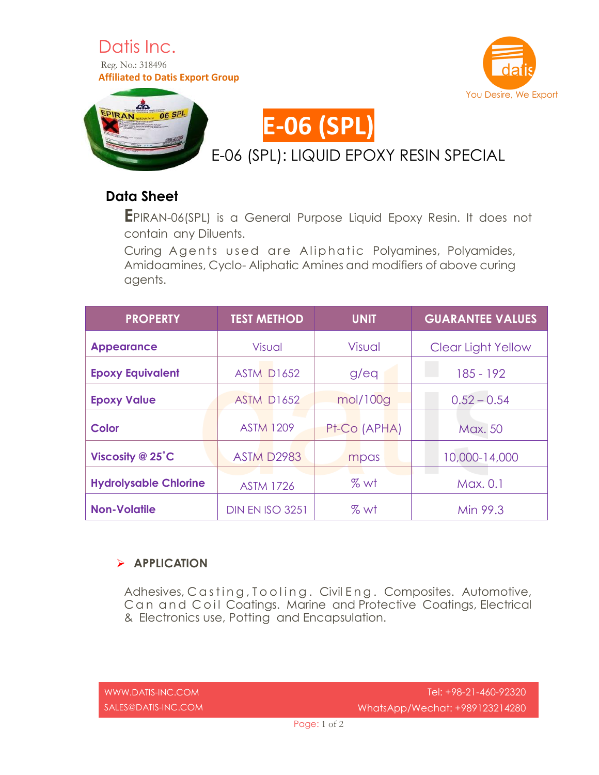







## **Data Sheet**

**E**PIRAN-06(SPL) is <sup>a</sup> General Purpose Liquid Epoxy Resin. It does not contain any Diluents.

Curing Agents used are Aliphatic Polyamines, Polyamides, Amidoamines, Cyclo- Aliphatic Amines and modifiers of above curing agents.

| <b>PROPERTY</b>              | <b>TEST METHOD</b>     | <b>UNIT</b>  | <b>GUARANTEE VALUES</b> |
|------------------------------|------------------------|--------------|-------------------------|
| <b>Appearance</b>            | <b>Visual</b>          | Visual       | Clear Light Yellow      |
| <b>Epoxy Equivalent</b>      | <b>ASTM D1652</b>      | g/eq         | $185 - 192$             |
| <b>Epoxy Value</b>           | <b>ASTM D1652</b>      | mol/100g     | $0.52 - 0.54$           |
| Color                        | <b>ASTM 1209</b>       | Pt-Co (APHA) | Max. 50                 |
| Viscosity @ 25°C             | <b>ASTM D2983</b>      | mpas         | 10,000-14,000           |
| <b>Hydrolysable Chlorine</b> | <b>ASTM 1726</b>       | %wt          | Max. 0.1                |
| <b>Non-Volatile</b>          | <b>DIN EN ISO 3251</b> | % wt         | Min 99.3                |

## **APPLICATION**

Adhesives, C as ting, T o o ling. Civil Eng. Composites. Automotive, Can and Coil Coatings. Marine and Protective Coatings, Electrical & Electronics use, Potting and Encapsulation.

[WWW.DATIS-INC.COM](http://www.datis-inc.com/) SALES@DATIS-INC.COM